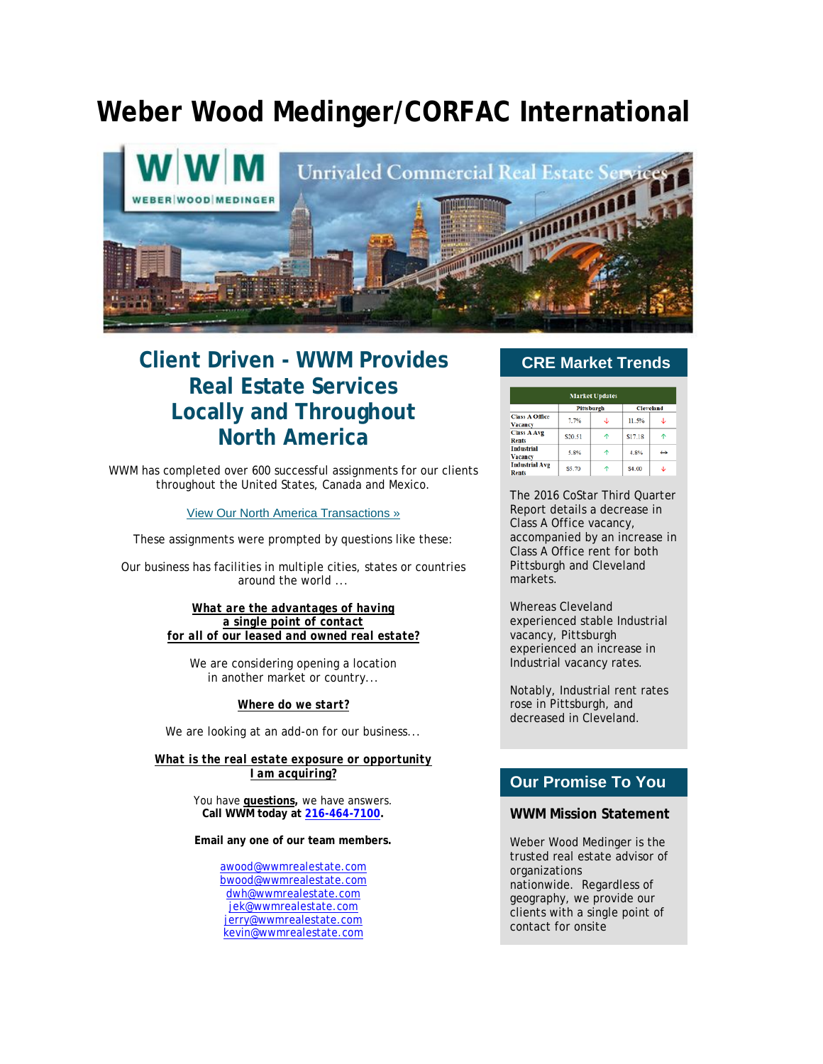# **Weber Wood Medinger/CORFAC International**



# **Client Driven - WWM Provides Real Estate Services Locally and Throughout North America**

WWM has completed over 600 successful assignments for our clients throughout the United States, Canada and Mexico.

[View Our North America Transactions »](http://click.icptrack.com/icp/relay.php?r=&msgid=0&act=111111&c=1590285&destination=http%3A%2F%2Fwww.wwmrealestate.com%2Fmain%2Ftransactions)

These assignments were prompted by questions like these:

Our business has facilities in multiple cities, states or countries around the world ...

> *What are the advantages of having a single point of contact for all of our leased and owned real estate?*

We are considering opening a location in another market or country...

#### *Where do we start?*

We are looking at an add-on for our business...

*What is the real estate exposure or opportunity I am acquiring?*

> You have **questions,** we have answers. **Call WWM today at [216-464-7100.](tel:(216)%20464-7100)**

> **Email any one of our team members.**

[awood@wwmrealestate.com](mailto:awood@wwmrealestate.com) [bwood@wwmrealestate.com](mailto:bwood@wwmrealestate.com) [dwh@wwmrealestate.com](mailto:dwh@wwmrealestate.com) [jek@wwmrealestate.com](mailto:jek@wwmrealestate.com) [jerry@wwmrealestate.com](mailto:jerry@wwmrealestate.com) [kevin@wwmrealestate.com](mailto:kevin@wwmrealestate.com)

### **CRE Market Trends**

| <b>Market Updates</b>               |            |   |                  |   |
|-------------------------------------|------------|---|------------------|---|
|                                     | Pittsburgh |   | <b>Cleveland</b> |   |
| <b>Class A Office</b><br>Vacancy    | 7.7%       | J | 11.5%            | s |
| <b>Class A Avg</b><br><b>Rents</b>  | \$20.51    | ኍ | S17.18           | ቶ |
| <b>Industrial</b><br><b>Vacancy</b> | 5.8%       |   | 4.8%             | ↔ |
| <b>Industrial Avg</b><br>Rents      | \$5.70     |   | \$4.00           | s |

The 2016 CoStar Third Quarter Report details a decrease in Class A Office vacancy, accompanied by an increase in Class A Office rent for both Pittsburgh and Cleveland markets.

Whereas Cleveland experienced stable Industrial vacancy, Pittsburgh experienced an increase in Industrial vacancy rates.

Notably, Industrial rent rates rose in Pittsburgh, and decreased in Cleveland.

## **Our Promise To You**

#### **WWM Mission Statement**

Weber Wood Medinger is the trusted real estate advisor of organizations nationwide. Regardless of geography, we provide our clients with a single point of contact for onsite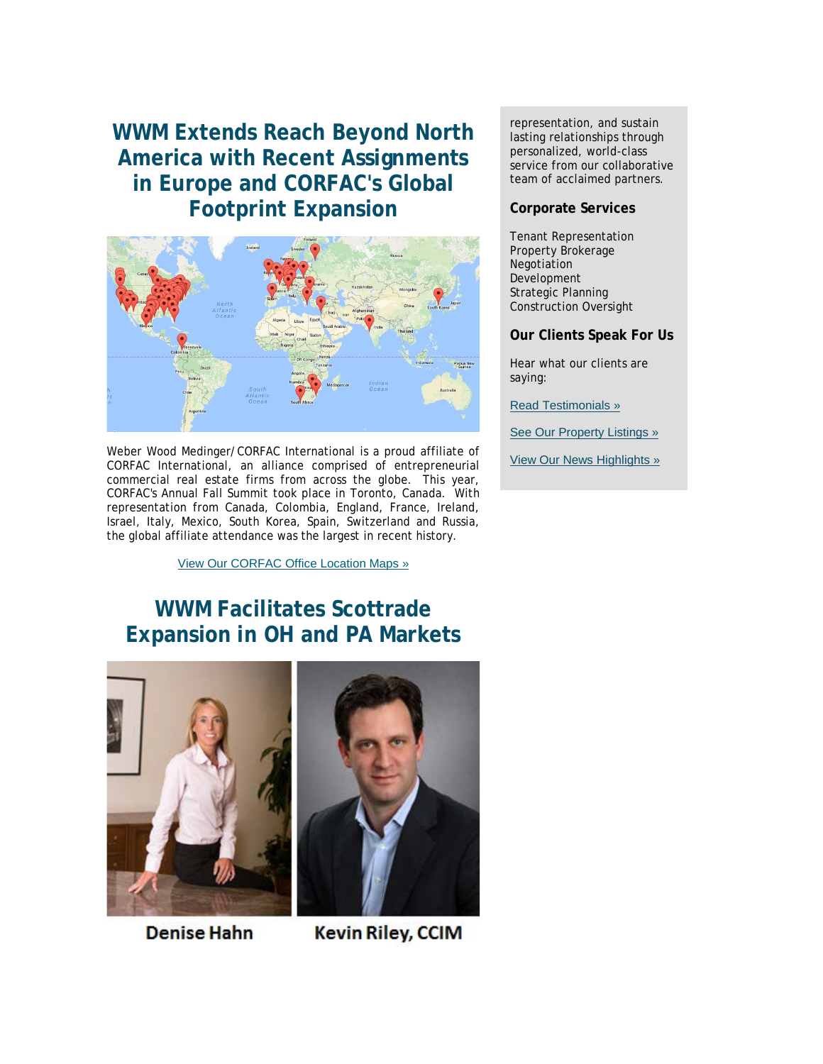**WWM Extends Reach Beyond North America with Recent Assignments in Europe and CORFAC's Global Footprint Expansion**



Weber Wood Medinger/CORFAC International is a proud affiliate of CORFAC International, an alliance comprised of entrepreneurial commercial real estate firms from across the globe. This year, CORFAC's Annual Fall Summit took place in Toronto, Canada. With representation from Canada, Colombia, England, France, Ireland, Israel, Italy, Mexico, South Korea, Spain, Switzerland and Russia, the global affiliate attendance was the largest in recent history.

[View Our CORFAC Office Location Maps »](http://click.icptrack.com/icp/relay.php?r=&msgid=0&act=111111&c=1590285&destination=http%3A%2F%2Fwww.wwmrealestate.com%2Fmain%2Fcorfac)

# **WWM Facilitates Scottrade Expansion in OH and PA Markets**



**Denise Hahn** 



**Kevin Riley, CCIM** 

representation, and sustain lasting relationships through personalized, world-class service from our collaborative team of acclaimed partners.

### **Corporate Services**

Tenant Representation Property Brokerage Negotiation Development Strategic Planning Construction Oversight

### **Our Clients Speak For Us**

Hear what our clients are saying:

[Read Testimonials »](http://click.icptrack.com/icp/relay.php?r=&msgid=0&act=111111&c=1590285&destination=http%3A%2F%2Fwwmrealestate.com%2Fmain%2Ftestimonials)

[See Our Property Listings »](http://click.icptrack.com/icp/relay.php?r=&msgid=0&act=111111&c=1590285&destination=http%3A%2F%2Fwwmrealestate.com%2Fmain%2Flisting)

[View Our News Highlights »](http://click.icptrack.com/icp/relay.php?r=&msgid=0&act=111111&c=1590285&destination=http%3A%2F%2Fwww.wwmrealestate.com%2Fmain%2Fnews)